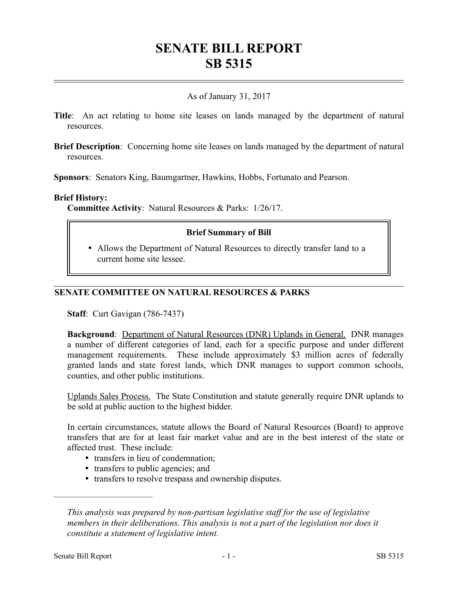# **SENATE BILL REPORT SB 5315**

# As of January 31, 2017

- **Title**: An act relating to home site leases on lands managed by the department of natural resources.
- **Brief Description**: Concerning home site leases on lands managed by the department of natural resources.

**Sponsors**: Senators King, Baumgartner, Hawkins, Hobbs, Fortunato and Pearson.

#### **Brief History:**

**Committee Activity**: Natural Resources & Parks: 1/26/17.

### **Brief Summary of Bill**

 Allows the Department of Natural Resources to directly transfer land to a current home site lessee.

## **SENATE COMMITTEE ON NATURAL RESOURCES & PARKS**

**Staff**: Curt Gavigan (786-7437)

**Background**: Department of Natural Resources (DNR) Uplands in General. DNR manages a number of different categories of land, each for a specific purpose and under different management requirements. These include approximately \$3 million acres of federally granted lands and state forest lands, which DNR manages to support common schools, counties, and other public institutions.

Uplands Sales Process. The State Constitution and statute generally require DNR uplands to be sold at public auction to the highest bidder.

In certain circumstances, statute allows the Board of Natural Resources (Board) to approve transfers that are for at least fair market value and are in the best interest of the state or affected trust. These include:

- transfers in lieu of condemnation;
- transfers to public agencies; and
- transfers to resolve trespass and ownership disputes.

––––––––––––––––––––––

*This analysis was prepared by non-partisan legislative staff for the use of legislative members in their deliberations. This analysis is not a part of the legislation nor does it constitute a statement of legislative intent.*